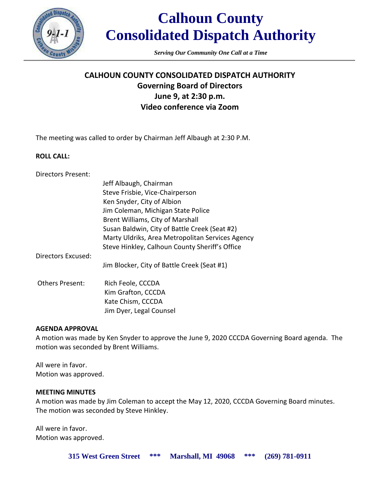

# **Calhoun County Consolidated Dispatch Authority**

*Serving Our Community One Call at a Time*

# **CALHOUN COUNTY CONSOLIDATED DISPATCH AUTHORITY Governing Board of Directors June 9, at 2:30 p.m. Video conference via Zoom**

The meeting was called to order by Chairman Jeff Albaugh at 2:30 P.M.

### **ROLL CALL:**

Directors Present:

|                    | Jeff Albaugh, Chairman                           |
|--------------------|--------------------------------------------------|
|                    | Steve Frisbie, Vice-Chairperson                  |
|                    | Ken Snyder, City of Albion                       |
|                    | Jim Coleman, Michigan State Police               |
|                    | Brent Williams, City of Marshall                 |
|                    | Susan Baldwin, City of Battle Creek (Seat #2)    |
|                    | Marty Uldriks, Area Metropolitan Services Agency |
|                    | Steve Hinkley, Calhoun County Sheriff's Office   |
| Directors Excused: |                                                  |
|                    | Jim Blocker, City of Battle Creek (Seat #1)      |
| Others Present:    | Rich Feole, CCCDA                                |
|                    | Kim Grafton, CCCDA                               |
|                    | Kate Chism, CCCDA                                |
|                    | Jim Dyer, Legal Counsel                          |

#### **AGENDA APPROVAL**

A motion was made by Ken Snyder to approve the June 9, 2020 CCCDA Governing Board agenda. The motion was seconded by Brent Williams.

All were in favor. Motion was approved.

#### **MEETING MINUTES**

A motion was made by Jim Coleman to accept the May 12, 2020, CCCDA Governing Board minutes. The motion was seconded by Steve Hinkley.

All were in favor. Motion was approved.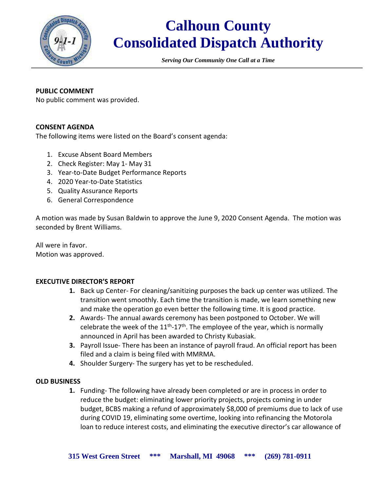

# **Calhoun County Consolidated Dispatch Authority**

*Serving Our Community One Call at a Time*

### **PUBLIC COMMENT**

No public comment was provided.

### **CONSENT AGENDA**

The following items were listed on the Board's consent agenda:

- 1. Excuse Absent Board Members
- 2. Check Register: May 1- May 31
- 3. Year-to-Date Budget Performance Reports
- 4. 2020 Year-to-Date Statistics
- 5. Quality Assurance Reports
- 6. General Correspondence

A motion was made by Susan Baldwin to approve the June 9, 2020 Consent Agenda. The motion was seconded by Brent Williams.

All were in favor. Motion was approved.

#### **EXECUTIVE DIRECTOR'S REPORT**

- **1.** Back up Center- For cleaning/sanitizing purposes the back up center was utilized. The transition went smoothly. Each time the transition is made, we learn something new and make the operation go even better the following time. It is good practice.
- **2.** Awards- The annual awards ceremony has been postponed to October. We will celebrate the week of the  $11<sup>th</sup>-17<sup>th</sup>$ . The employee of the year, which is normally announced in April has been awarded to Christy Kubasiak.
- **3.** Payroll Issue- There has been an instance of payroll fraud. An official report has been filed and a claim is being filed with MMRMA.
- **4.** Shoulder Surgery- The surgery has yet to be rescheduled.

#### **OLD BUSINESS**

**1.** Funding- The following have already been completed or are in process in order to reduce the budget: eliminating lower priority projects, projects coming in under budget, BCBS making a refund of approximately \$8,000 of premiums due to lack of use during COVID 19, eliminating some overtime, looking into refinancing the Motorola loan to reduce interest costs, and eliminating the executive director's car allowance of